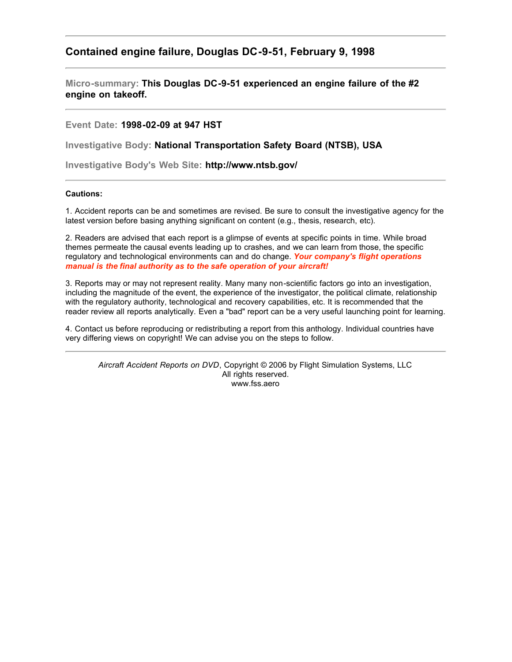## **Contained engine failure, Douglas DC-9-51, February 9, 1998**

**Micro-summary: This Douglas DC-9-51 experienced an engine failure of the #2 engine on takeoff.**

**Event Date: 1998-02-09 at 947 HST**

**Investigative Body: National Transportation Safety Board (NTSB), USA**

**Investigative Body's Web Site: http://www.ntsb.gov/**

## **Cautions:**

1. Accident reports can be and sometimes are revised. Be sure to consult the investigative agency for the latest version before basing anything significant on content (e.g., thesis, research, etc).

2. Readers are advised that each report is a glimpse of events at specific points in time. While broad themes permeate the causal events leading up to crashes, and we can learn from those, the specific regulatory and technological environments can and do change. *Your company's flight operations manual is the final authority as to the safe operation of your aircraft!*

3. Reports may or may not represent reality. Many many non-scientific factors go into an investigation, including the magnitude of the event, the experience of the investigator, the political climate, relationship with the regulatory authority, technological and recovery capabilities, etc. It is recommended that the reader review all reports analytically. Even a "bad" report can be a very useful launching point for learning.

4. Contact us before reproducing or redistributing a report from this anthology. Individual countries have very differing views on copyright! We can advise you on the steps to follow.

*Aircraft Accident Reports on DVD*, Copyright © 2006 by Flight Simulation Systems, LLC All rights reserved. www.fss.aero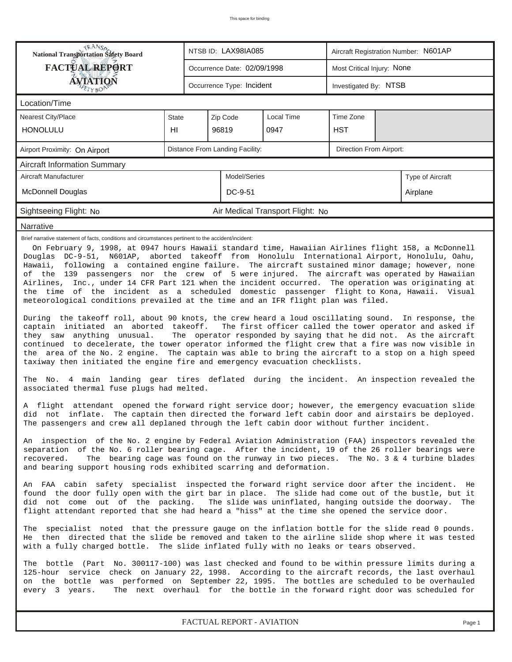| TRANSA<br><b>National Transportation Safety Board</b>                                                                                                                                                                                                                                                                                                                                                                                                                                                                                                                                                                                                                                                                                                                                                                                                                                                                                                                                                                                                                                                                                                                                                                                                                                                                                                                                                                                                  |              |                             | NTSB ID: LAX98IA085       |                                  | Aircraft Registration Number: N601AP |          |        |  |  |  |  |
|--------------------------------------------------------------------------------------------------------------------------------------------------------------------------------------------------------------------------------------------------------------------------------------------------------------------------------------------------------------------------------------------------------------------------------------------------------------------------------------------------------------------------------------------------------------------------------------------------------------------------------------------------------------------------------------------------------------------------------------------------------------------------------------------------------------------------------------------------------------------------------------------------------------------------------------------------------------------------------------------------------------------------------------------------------------------------------------------------------------------------------------------------------------------------------------------------------------------------------------------------------------------------------------------------------------------------------------------------------------------------------------------------------------------------------------------------------|--------------|-----------------------------|---------------------------|----------------------------------|--------------------------------------|----------|--------|--|--|--|--|
| <b>FACTUAL REPORT</b>                                                                                                                                                                                                                                                                                                                                                                                                                                                                                                                                                                                                                                                                                                                                                                                                                                                                                                                                                                                                                                                                                                                                                                                                                                                                                                                                                                                                                                  |              | Occurrence Date: 02/09/1998 |                           | Most Critical Injury: None       |                                      |          |        |  |  |  |  |
| <b>ÁVIATION</b><br>FETY BON                                                                                                                                                                                                                                                                                                                                                                                                                                                                                                                                                                                                                                                                                                                                                                                                                                                                                                                                                                                                                                                                                                                                                                                                                                                                                                                                                                                                                            |              |                             | Occurrence Type: Incident |                                  | Investigated By: NTSB                |          |        |  |  |  |  |
| Location/Time                                                                                                                                                                                                                                                                                                                                                                                                                                                                                                                                                                                                                                                                                                                                                                                                                                                                                                                                                                                                                                                                                                                                                                                                                                                                                                                                                                                                                                          |              |                             |                           |                                  |                                      |          |        |  |  |  |  |
| Nearest City/Place                                                                                                                                                                                                                                                                                                                                                                                                                                                                                                                                                                                                                                                                                                                                                                                                                                                                                                                                                                                                                                                                                                                                                                                                                                                                                                                                                                                                                                     | <b>State</b> |                             | Zip Code                  | Local Time                       | Time Zone                            |          |        |  |  |  |  |
| <b>HONOLULU</b>                                                                                                                                                                                                                                                                                                                                                                                                                                                                                                                                                                                                                                                                                                                                                                                                                                                                                                                                                                                                                                                                                                                                                                                                                                                                                                                                                                                                                                        | HI           |                             | 96819                     | 0947                             | <b>HST</b>                           |          |        |  |  |  |  |
| Distance From Landing Facility:<br>Direction From Airport:<br>Airport Proximity: On Airport                                                                                                                                                                                                                                                                                                                                                                                                                                                                                                                                                                                                                                                                                                                                                                                                                                                                                                                                                                                                                                                                                                                                                                                                                                                                                                                                                            |              |                             |                           |                                  |                                      |          |        |  |  |  |  |
| <b>Aircraft Information Summary</b>                                                                                                                                                                                                                                                                                                                                                                                                                                                                                                                                                                                                                                                                                                                                                                                                                                                                                                                                                                                                                                                                                                                                                                                                                                                                                                                                                                                                                    |              |                             |                           |                                  |                                      |          |        |  |  |  |  |
| Aircraft Manufacturer                                                                                                                                                                                                                                                                                                                                                                                                                                                                                                                                                                                                                                                                                                                                                                                                                                                                                                                                                                                                                                                                                                                                                                                                                                                                                                                                                                                                                                  |              | Type of Aircraft            |                           |                                  |                                      |          |        |  |  |  |  |
| <b>McDonnell Douglas</b>                                                                                                                                                                                                                                                                                                                                                                                                                                                                                                                                                                                                                                                                                                                                                                                                                                                                                                                                                                                                                                                                                                                                                                                                                                                                                                                                                                                                                               |              | DC-9-51                     |                           |                                  |                                      | Airplane |        |  |  |  |  |
| Sightseeing Flight: No                                                                                                                                                                                                                                                                                                                                                                                                                                                                                                                                                                                                                                                                                                                                                                                                                                                                                                                                                                                                                                                                                                                                                                                                                                                                                                                                                                                                                                 |              |                             |                           | Air Medical Transport Flight: No |                                      |          |        |  |  |  |  |
| Narrative                                                                                                                                                                                                                                                                                                                                                                                                                                                                                                                                                                                                                                                                                                                                                                                                                                                                                                                                                                                                                                                                                                                                                                                                                                                                                                                                                                                                                                              |              |                             |                           |                                  |                                      |          |        |  |  |  |  |
| On February 9, 1998, at 0947 hours Hawaii standard time, Hawaiian Airlines flight 158, a McDonnell<br>Douglas DC-9-51, N601AP, aborted takeoff from Honolulu International Airport, Honolulu, Oahu,<br>Hawaii, following a contained engine failure. The aircraft sustained minor damage; however, none<br>of the 139 passengers nor the crew of 5 were injured. The aircraft was operated by Hawaiian<br>Airlines, Inc., under 14 CFR Part 121 when the incident occurred. The operation was originating at<br>the time of the incident as a scheduled domestic passenger flight to Kona, Hawaii. Visual<br>meteorological conditions prevailed at the time and an IFR flight plan was filed.<br>During the takeoff roll, about 90 knots, the crew heard a loud oscillating sound. In response, the<br>The first officer called the tower operator and asked if<br>captain initiated an aborted takeoff.<br>The operator responded by saying that he did not. As the aircraft<br>they saw anything unusual.<br>continued to decelerate, the tower operator informed the flight crew that a fire was now visible in<br>the area of the No. 2 engine. The captain was able to bring the aircraft to a stop on a high speed<br>taxiway then initiated the engine fire and emergency evacuation checklists.<br>4 main landing gear tires deflated during the incident. An inspection revealed the<br>The No.<br>associated thermal fuse plugs had melted. |              |                             |                           |                                  |                                      |          |        |  |  |  |  |
| A flight attendant opened the forward right service door; however, the emergency evacuation slide<br>did  not  inflate.  The captain then directed the forward left cabin door and airstairs be deployed.<br>The passengers and crew all deplaned through the left cabin door without further incident.<br>An inspection of the No. 2 engine by Federal Aviation Administration (FAA) inspectors revealed the<br>separation of the No. 6 roller bearing cage. After the incident, 19 of the 26 roller bearings were<br>The bearing cage was found on the runway in two pieces. The No. 3 & 4 turbine blades<br>recovered.<br>and bearing support housing rods exhibited scarring and deformation.                                                                                                                                                                                                                                                                                                                                                                                                                                                                                                                                                                                                                                                                                                                                                      |              |                             |                           |                                  |                                      |          |        |  |  |  |  |
| An FAA cabin safety specialist inspected the forward right service door after the incident.<br>He<br>found the door fully open with the girt bar in place. The slide had come out of the bustle, but it<br>did not come out of the packing. The slide was uninflated, hanging outside the doorway.<br>The<br>flight attendant reported that she had heard a "hiss" at the time she opened the service door.                                                                                                                                                                                                                                                                                                                                                                                                                                                                                                                                                                                                                                                                                                                                                                                                                                                                                                                                                                                                                                            |              |                             |                           |                                  |                                      |          |        |  |  |  |  |
| The specialist noted that the pressure gauge on the inflation bottle for the slide read 0 pounds.<br>He then directed that the slide be removed and taken to the airline slide shop where it was tested<br>with a fully charged bottle. The slide inflated fully with no leaks or tears observed.                                                                                                                                                                                                                                                                                                                                                                                                                                                                                                                                                                                                                                                                                                                                                                                                                                                                                                                                                                                                                                                                                                                                                      |              |                             |                           |                                  |                                      |          |        |  |  |  |  |
| The bottle (Part No. 300117-100) was last checked and found to be within pressure limits during a<br>125-hour service check on January 22, 1998. According to the aircraft records, the last overhaul<br>on the bottle was performed on September 22, 1995. The bottles are scheduled to be overhauled<br>The next overhaul for the bottle in the forward right door was scheduled for<br>every 3 years.                                                                                                                                                                                                                                                                                                                                                                                                                                                                                                                                                                                                                                                                                                                                                                                                                                                                                                                                                                                                                                               |              |                             |                           |                                  |                                      |          |        |  |  |  |  |
|                                                                                                                                                                                                                                                                                                                                                                                                                                                                                                                                                                                                                                                                                                                                                                                                                                                                                                                                                                                                                                                                                                                                                                                                                                                                                                                                                                                                                                                        |              |                             | FACTUAL REPORT - AVIATION |                                  |                                      |          | Page 1 |  |  |  |  |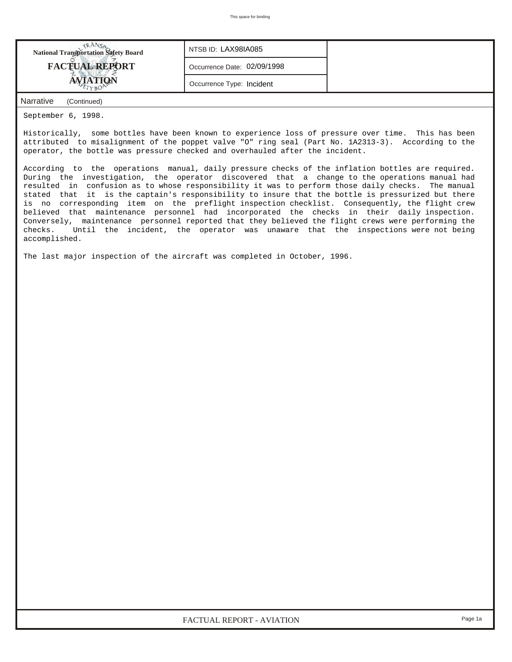

September 6, 1998.

Historically, some bottles have been known to experience loss of pressure over time. This has been attributed to misalignment of the poppet valve "O" ring seal (Part No. 1A2313-3). According to the operator, the bottle was pressure checked and overhauled after the incident.

According to the operations manual, daily pressure checks of the inflation bottles are required. During the investigation, the operator discovered that a change to the operations manual had resulted in confusion as to whose responsibility it was to perform those daily checks. The manual stated that it is the captain's responsibility to insure that the bottle is pressurized but there is no corresponding item on the preflight inspection checklist. Consequently, the flight crew believed that maintenance personnel had incorporated the checks in their daily inspection. Conversely, maintenance personnel reported that they believed the flight crews were performing the checks. Until the incident, the operator was unaware that the inspections were not being accomplished.

The last major inspection of the aircraft was completed in October, 1996.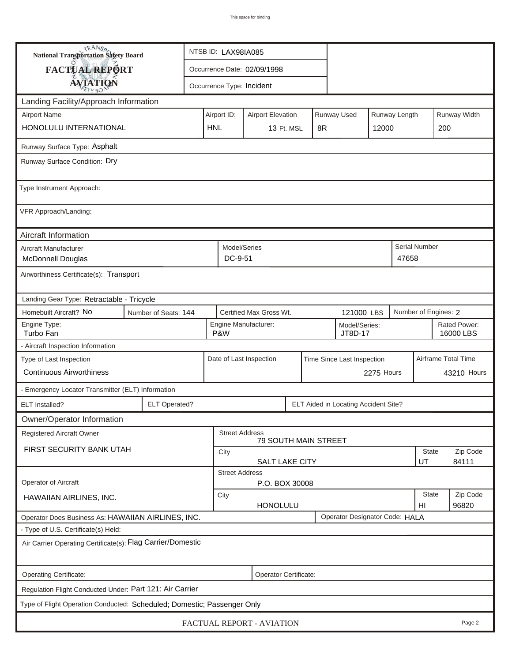| <b>National Transportation Safety Board</b>                             |            | NTSB ID: LAX98IA085                                                            |                                                      |  |  |                                      |            |                    |                           |                   |  |
|-------------------------------------------------------------------------|------------|--------------------------------------------------------------------------------|------------------------------------------------------|--|--|--------------------------------------|------------|--------------------|---------------------------|-------------------|--|
| FACTUAL REPORT                                                          |            | Occurrence Date: 02/09/1998                                                    |                                                      |  |  |                                      |            |                    |                           |                   |  |
| <b>AVIATION</b>                                                         |            |                                                                                | Occurrence Type: Incident                            |  |  |                                      |            |                    |                           |                   |  |
| Landing Facility/Approach Information                                   |            |                                                                                |                                                      |  |  |                                      |            |                    |                           |                   |  |
| <b>Airport Name</b>                                                     |            | <b>Runway Used</b><br>Runway Length<br>Airport ID:<br><b>Airport Elevation</b> |                                                      |  |  |                                      |            |                    | Runway Width              |                   |  |
| HONOLULU INTERNATIONAL                                                  | <b>HNL</b> | 13 Ft. MSL<br>8R                                                               |                                                      |  |  | 12000                                |            | 200                |                           |                   |  |
| Runway Surface Type: Asphalt                                            |            |                                                                                |                                                      |  |  |                                      |            |                    |                           |                   |  |
| Runway Surface Condition: Dry                                           |            |                                                                                |                                                      |  |  |                                      |            |                    |                           |                   |  |
| Type Instrument Approach:                                               |            |                                                                                |                                                      |  |  |                                      |            |                    |                           |                   |  |
| VFR Approach/Landing:                                                   |            |                                                                                |                                                      |  |  |                                      |            |                    |                           |                   |  |
| Aircraft Information                                                    |            |                                                                                |                                                      |  |  |                                      |            |                    |                           |                   |  |
| Aircraft Manufacturer<br><b>McDonnell Douglas</b>                       |            |                                                                                | Model/Series<br>DC-9-51                              |  |  |                                      |            | 47658              | <b>Serial Number</b>      |                   |  |
| Airworthiness Certificate(s): Transport                                 |            |                                                                                |                                                      |  |  |                                      |            |                    |                           |                   |  |
| Landing Gear Type: Retractable - Tricycle                               |            |                                                                                |                                                      |  |  |                                      |            |                    |                           |                   |  |
| Homebuilt Aircraft? No<br>Number of Seats: 144                          |            | Certified Max Gross Wt.                                                        | 121000 LBS                                           |  |  | Number of Engines: 2                 |            |                    |                           |                   |  |
| Engine Type:<br>Turbo Fan                                               |            | Engine Manufacturer:<br>Model/Series:<br>P&W<br>JT8D-17                        |                                                      |  |  |                                      |            |                    | Rated Power:<br>16000 LBS |                   |  |
| - Aircraft Inspection Information                                       |            |                                                                                |                                                      |  |  |                                      |            |                    |                           |                   |  |
| Type of Last Inspection<br><b>Continuous Airworthiness</b>              |            |                                                                                | Date of Last Inspection                              |  |  | Time Since Last Inspection           |            |                    | Airframe Total Time       |                   |  |
|                                                                         |            |                                                                                |                                                      |  |  |                                      | 2275 Hours |                    |                           | 43210 Hours       |  |
| - Emergency Locator Transmitter (ELT) Information                       |            |                                                                                |                                                      |  |  |                                      |            |                    |                           |                   |  |
| <b>ELT Operated?</b><br><b>ELT</b> Installed?                           |            |                                                                                |                                                      |  |  | ELT Aided in Locating Accident Site? |            |                    |                           |                   |  |
| Owner/Operator Information                                              |            |                                                                                |                                                      |  |  |                                      |            |                    |                           |                   |  |
| Registered Aircraft Owner                                               |            |                                                                                | <b>Street Address</b><br><b>79 SOUTH MAIN STREET</b> |  |  |                                      |            |                    |                           |                   |  |
| FIRST SECURITY BANK UTAH                                                |            | State<br>City<br>SALT LAKE CITY<br>UT                                          |                                                      |  |  |                                      |            |                    |                           | Zip Code<br>84111 |  |
|                                                                         |            |                                                                                | <b>Street Address</b>                                |  |  |                                      |            |                    |                           |                   |  |
| Operator of Aircraft                                                    |            |                                                                                | P.O. BOX 30008                                       |  |  |                                      |            |                    |                           |                   |  |
| HAWAIIAN AIRLINES, INC.                                                 |            | City<br><b>HONOLULU</b>                                                        |                                                      |  |  |                                      |            | <b>State</b><br>HI | Zip Code<br>96820         |                   |  |
| Operator Does Business As: HAWAIIAN AIRLINES, INC.                      |            |                                                                                |                                                      |  |  | Operator Designator Code: HALA       |            |                    |                           |                   |  |
| - Type of U.S. Certificate(s) Held:                                     |            |                                                                                |                                                      |  |  |                                      |            |                    |                           |                   |  |
| Air Carrier Operating Certificate(s): Flag Carrier/Domestic             |            |                                                                                |                                                      |  |  |                                      |            |                    |                           |                   |  |
| Operating Certificate:<br>Operator Certificate:                         |            |                                                                                |                                                      |  |  |                                      |            |                    |                           |                   |  |
| Regulation Flight Conducted Under: Part 121: Air Carrier                |            |                                                                                |                                                      |  |  |                                      |            |                    |                           |                   |  |
| Type of Flight Operation Conducted: Scheduled; Domestic; Passenger Only |            |                                                                                |                                                      |  |  |                                      |            |                    |                           |                   |  |
| FACTUAL REPORT - AVIATION<br>Page 2                                     |            |                                                                                |                                                      |  |  |                                      |            |                    |                           |                   |  |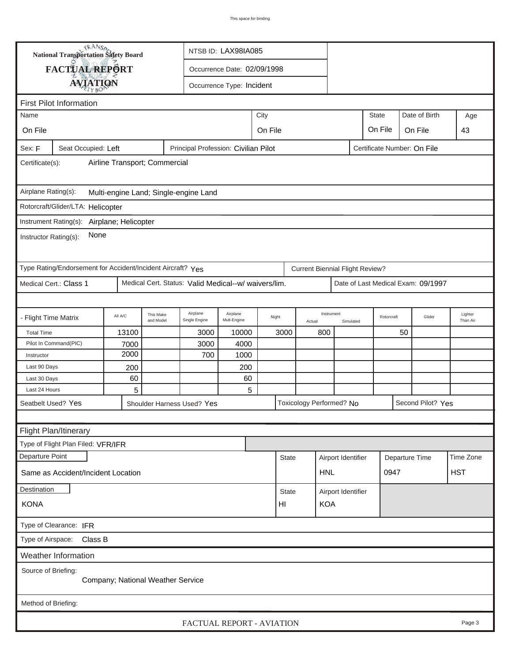| <b>National Transportation Safety Board</b><br>NTSB ID: LAX98IA085          |                     |         |                        |                                                      |                           |       |                  |        |                                        |                    |                             |    |                                    |                     |
|-----------------------------------------------------------------------------|---------------------|---------|------------------------|------------------------------------------------------|---------------------------|-------|------------------|--------|----------------------------------------|--------------------|-----------------------------|----|------------------------------------|---------------------|
|                                                                             | FACTUAL REPORT      |         |                        | Occurrence Date: 02/09/1998                          |                           |       |                  |        |                                        |                    |                             |    |                                    |                     |
|                                                                             |                     |         |                        |                                                      | Occurrence Type: Incident |       |                  |        |                                        |                    |                             |    |                                    |                     |
|                                                                             | <b>AVIATION</b>     |         |                        |                                                      |                           |       |                  |        |                                        |                    |                             |    |                                    |                     |
| <b>First Pilot Information</b>                                              |                     |         |                        |                                                      |                           |       |                  |        |                                        |                    |                             |    |                                    |                     |
| City<br>Name                                                                |                     |         |                        |                                                      |                           |       |                  |        |                                        |                    | <b>State</b>                |    | Date of Birth                      | Age                 |
| On File                                                                     |                     |         |                        | On File<br>On File<br>On File                        |                           |       |                  |        |                                        |                    |                             |    |                                    | 43                  |
| Sex: F                                                                      | Seat Occupied: Left |         |                        | Principal Profession: Civilian Pilot                 |                           |       |                  |        |                                        |                    | Certificate Number: On File |    |                                    |                     |
| Airline Transport; Commercial<br>Certificate(s):                            |                     |         |                        |                                                      |                           |       |                  |        |                                        |                    |                             |    |                                    |                     |
| Airplane Rating(s):<br>Multi-engine Land; Single-engine Land                |                     |         |                        |                                                      |                           |       |                  |        |                                        |                    |                             |    |                                    |                     |
| Rotorcraft/Glider/LTA: Helicopter                                           |                     |         |                        |                                                      |                           |       |                  |        |                                        |                    |                             |    |                                    |                     |
|                                                                             |                     |         |                        |                                                      |                           |       |                  |        |                                        |                    |                             |    |                                    |                     |
| Instrument Rating(s): Airplane; Helicopter<br>None<br>Instructor Rating(s): |                     |         |                        |                                                      |                           |       |                  |        |                                        |                    |                             |    |                                    |                     |
| Type Rating/Endorsement for Accident/Incident Aircraft? Yes                 |                     |         |                        |                                                      |                           |       |                  |        | <b>Current Biennial Flight Review?</b> |                    |                             |    |                                    |                     |
| Medical Cert.: Class 1                                                      |                     |         |                        | Medical Cert. Status: Valid Medical--w/ waivers/lim. |                           |       |                  |        |                                        |                    |                             |    | Date of Last Medical Exam: 09/1997 |                     |
|                                                                             |                     |         |                        |                                                      |                           |       |                  |        |                                        |                    |                             |    |                                    |                     |
| - Flight Time Matrix                                                        |                     | All A/C | This Make<br>and Model | Airplane<br>Single Engine                            | Airplane<br>Mult-Engine   | Night |                  | Actual | Instrument                             | Simulated          | Rotorcraft                  |    | Glider                             | Lighter<br>Than Air |
| <b>Total Time</b>                                                           |                     | 13100   |                        | 3000                                                 | 10000                     |       | 3000             |        | 800                                    |                    |                             | 50 |                                    |                     |
| Pilot In Command(PIC)                                                       |                     | 7000    |                        | 3000                                                 | 4000                      |       |                  |        |                                        |                    |                             |    |                                    |                     |
| Instructor                                                                  |                     | 2000    |                        | 700                                                  | 1000                      |       |                  |        |                                        |                    |                             |    |                                    |                     |
| Last 90 Days                                                                |                     | 200     |                        |                                                      | 200                       |       |                  |        |                                        |                    |                             |    |                                    |                     |
| Last 30 Days                                                                |                     | 60      |                        |                                                      | 60                        |       |                  |        |                                        |                    |                             |    |                                    |                     |
| Last 24 Hours                                                               |                     | 5       |                        |                                                      | 5                         |       |                  |        |                                        |                    |                             |    |                                    |                     |
| Seatbelt Used? Yes                                                          |                     |         |                        | Shoulder Harness Used? Yes                           |                           |       |                  |        | Toxicology Performed? No               |                    |                             |    | Second Pilot? Yes                  |                     |
|                                                                             |                     |         |                        |                                                      |                           |       |                  |        |                                        |                    |                             |    |                                    |                     |
| Flight Plan/Itinerary                                                       |                     |         |                        |                                                      |                           |       |                  |        |                                        |                    |                             |    |                                    |                     |
| Type of Flight Plan Filed: VFR/IFR                                          |                     |         |                        |                                                      |                           |       |                  |        |                                        |                    |                             |    |                                    |                     |
| Departure Point                                                             |                     |         |                        |                                                      |                           |       | <b>State</b>     |        | Airport Identifier                     |                    | Departure Time              |    |                                    | Time Zone           |
| Same as Accident/Incident Location                                          |                     |         |                        |                                                      |                           |       |                  |        | <b>HNL</b>                             |                    | 0947                        |    |                                    | <b>HST</b>          |
| Destination                                                                 |                     |         |                        |                                                      |                           |       | <b>State</b>     |        |                                        | Airport Identifier |                             |    |                                    |                     |
| <b>KONA</b>                                                                 |                     |         |                        |                                                      |                           |       | <b>KOA</b><br>HI |        |                                        |                    |                             |    |                                    |                     |
| Type of Clearance: IFR                                                      |                     |         |                        |                                                      |                           |       |                  |        |                                        |                    |                             |    |                                    |                     |
| Type of Airspace: Class B                                                   |                     |         |                        |                                                      |                           |       |                  |        |                                        |                    |                             |    |                                    |                     |
| Weather Information                                                         |                     |         |                        |                                                      |                           |       |                  |        |                                        |                    |                             |    |                                    |                     |
| Source of Briefing:<br>Company; National Weather Service                    |                     |         |                        |                                                      |                           |       |                  |        |                                        |                    |                             |    |                                    |                     |
| Method of Briefing:                                                         |                     |         |                        |                                                      |                           |       |                  |        |                                        |                    |                             |    |                                    |                     |
|                                                                             |                     |         |                        | FACTUAL REPORT - AVIATION                            |                           |       |                  |        |                                        |                    |                             |    |                                    | Page 3              |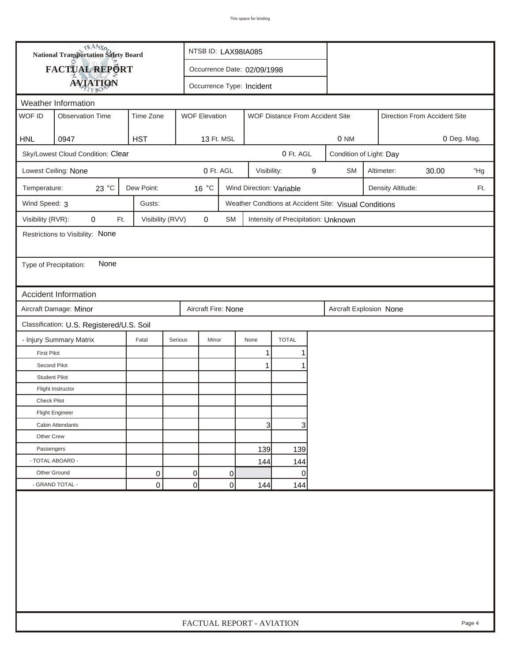| <b>National Transportation Safety Board</b>  |                                           | NTSB ID: LAX98IA085                                                  |         |                             |                                               |              |                                     |   |                                                       |                         |  |  |     |
|----------------------------------------------|-------------------------------------------|----------------------------------------------------------------------|---------|-----------------------------|-----------------------------------------------|--------------|-------------------------------------|---|-------------------------------------------------------|-------------------------|--|--|-----|
| FACTUAL REPORT                               |                                           |                                                                      |         | Occurrence Date: 02/09/1998 |                                               |              |                                     |   |                                                       |                         |  |  |     |
| <b>AVIATION</b><br>Occurrence Type: Incident |                                           |                                                                      |         |                             |                                               |              |                                     |   |                                                       |                         |  |  |     |
| Weather Information                          |                                           |                                                                      |         |                             |                                               |              |                                     |   |                                                       |                         |  |  |     |
| WOF ID                                       | <b>Observation Time</b>                   | Time Zone<br><b>WOF Elevation</b><br>WOF Distance From Accident Site |         |                             |                                               |              |                                     |   | Direction From Accident Site                          |                         |  |  |     |
|                                              |                                           |                                                                      |         |                             |                                               |              |                                     |   |                                                       |                         |  |  |     |
| <b>HNL</b>                                   | 0947                                      | <b>HST</b>                                                           |         | 13 Ft. MSL                  |                                               |              |                                     |   | 0 <sub>NM</sub>                                       | 0 Deg. Mag.             |  |  |     |
|                                              | Sky/Lowest Cloud Condition: Clear         |                                                                      |         |                             |                                               |              | 0 Ft. AGL                           |   |                                                       | Condition of Light: Day |  |  |     |
|                                              | Lowest Ceiling: None                      |                                                                      |         | 0 Ft. AGL                   |                                               | Visibility:  |                                     | 9 | <b>SM</b>                                             | 30.00<br>Altimeter:     |  |  |     |
| Temperature:                                 | 23 °C                                     | Dew Point:                                                           |         | 16 °C                       | Wind Direction: Variable<br>Density Altitude: |              |                                     |   |                                                       |                         |  |  | Ft. |
| Wind Speed: 3                                |                                           | Gusts:                                                               |         |                             |                                               |              |                                     |   | Weather Condtions at Accident Site: Visual Conditions |                         |  |  |     |
| Visibility (RVR):                            | $\pmb{0}$<br>Ft.                          | Visibility (RVV)                                                     |         | 0                           | SM                                            |              | Intensity of Precipitation: Unknown |   |                                                       |                         |  |  |     |
|                                              | Restrictions to Visibility: None          |                                                                      |         |                             |                                               |              |                                     |   |                                                       |                         |  |  |     |
|                                              |                                           |                                                                      |         |                             |                                               |              |                                     |   |                                                       |                         |  |  |     |
| Type of Precipitation:                       | None                                      |                                                                      |         |                             |                                               |              |                                     |   |                                                       |                         |  |  |     |
|                                              |                                           |                                                                      |         |                             |                                               |              |                                     |   |                                                       |                         |  |  |     |
|                                              | Accident Information                      |                                                                      |         |                             |                                               |              |                                     |   |                                                       |                         |  |  |     |
|                                              | Aircraft Damage: Minor                    |                                                                      |         | Aircraft Fire: None         |                                               |              |                                     |   | Aircraft Explosion None                               |                         |  |  |     |
|                                              | Classification: U.S. Registered/U.S. Soil |                                                                      |         |                             |                                               |              |                                     |   |                                                       |                         |  |  |     |
|                                              | - Injury Summary Matrix                   | Fatal                                                                | Serious | Minor                       |                                               | None         | <b>TOTAL</b>                        |   |                                                       |                         |  |  |     |
| <b>First Pilot</b>                           |                                           |                                                                      |         |                             |                                               | $\mathbf{1}$ | 1                                   |   |                                                       |                         |  |  |     |
| Second Pilot                                 |                                           |                                                                      |         |                             |                                               | 1            |                                     |   |                                                       |                         |  |  |     |
| <b>Student Pilot</b>                         |                                           |                                                                      |         |                             |                                               |              |                                     |   |                                                       |                         |  |  |     |
|                                              | Flight Instructor                         |                                                                      |         |                             |                                               |              |                                     |   |                                                       |                         |  |  |     |
| <b>Check Pilot</b>                           |                                           |                                                                      |         |                             |                                               |              |                                     |   |                                                       |                         |  |  |     |
|                                              | <b>Flight Engineer</b>                    |                                                                      |         |                             |                                               |              |                                     |   |                                                       |                         |  |  |     |
|                                              | Cabin Attendants                          |                                                                      |         |                             |                                               | 31           | 3                                   |   |                                                       |                         |  |  |     |
| Other Crew                                   |                                           |                                                                      |         |                             |                                               |              |                                     |   |                                                       |                         |  |  |     |
| Passengers                                   |                                           |                                                                      |         |                             |                                               | 139          | 139                                 |   |                                                       |                         |  |  |     |
|                                              | - TOTAL ABOARD -                          |                                                                      |         |                             |                                               | 144          | 144                                 |   |                                                       |                         |  |  |     |
| Other Ground                                 |                                           | 0                                                                    |         | $\Omega$                    | 0                                             |              | $\overline{0}$                      |   |                                                       |                         |  |  |     |
|                                              | - GRAND TOTAL -                           | 0                                                                    |         | 0                           | 0                                             | 144          | 144                                 |   |                                                       |                         |  |  |     |
|                                              |                                           |                                                                      |         |                             |                                               |              |                                     |   |                                                       |                         |  |  |     |
|                                              | FACTUAL REPORT - AVIATION<br>Page 4       |                                                                      |         |                             |                                               |              |                                     |   |                                                       |                         |  |  |     |